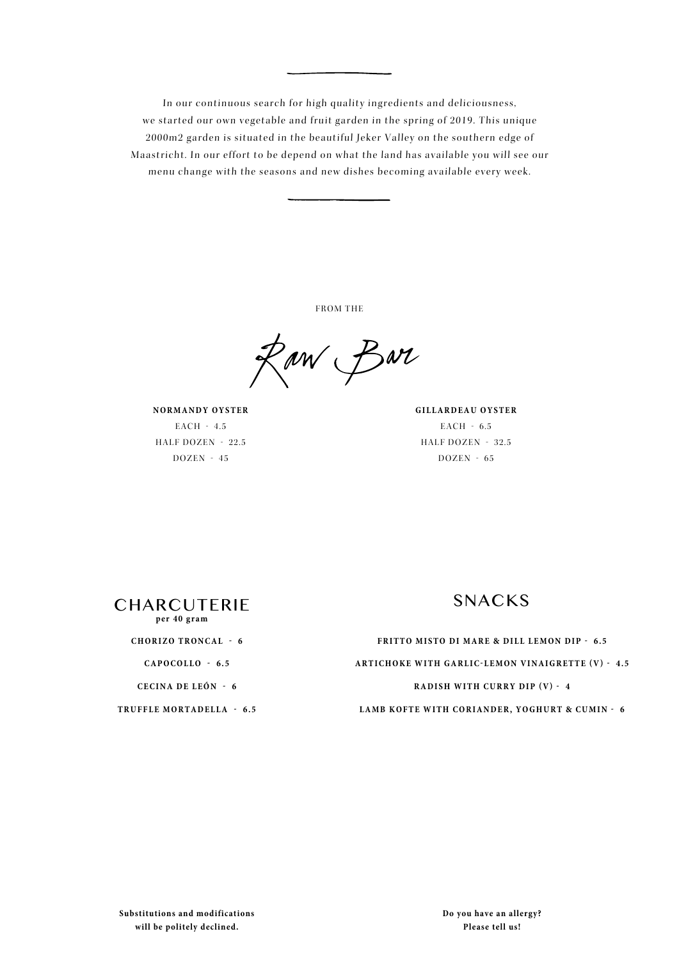In our continuous search for high quality ingredients and deliciousness, we started our own vegetable and fruit garden in the spring of 2019. This unique 2000m2 garden is situated in the beautiful Jeker Valley on the southern edge of Maastricht. In our effort to be depend on what the land has available you will see our menu change with the seasons and new dishes becoming available every week.

FROM THE

Raw Bar

**NORMANDY OYSTER** EACH - 4.5 HALF DOZEN - 22.5  $DOZEN - 45$ 

**GILLARDEAU OYSTER** EACH - 6.5 HALF DOZEN - 32.5 DOZEN - 65



**CHORIZO TRONCAL - 6**

**CAPOCOLLO - 6.5**

**CECINA DE LEÓN - 6**

**TRUFFLE MORTADELLA - 6.5** 

**FRITTO MISTO DI MARE & DILL LEMON DIP - 6.5 ARTICHOKE WITH GARLIC-LEMON VINAIGRETTE (V) - 4.5 RADISH WITH CURRY DIP (V) - 4 LAMB KOFTE WITH CORIANDER, YOGHURT & CUMIN - 6**